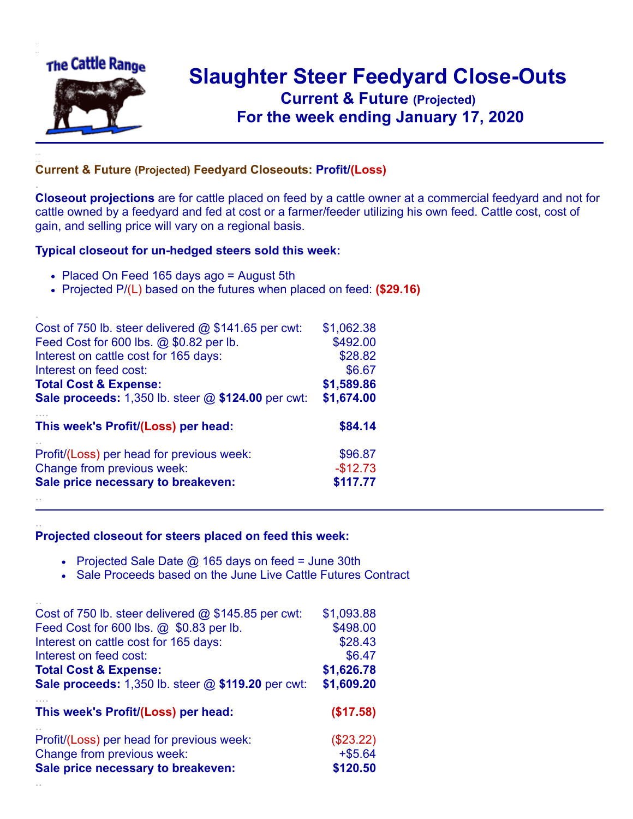

.

..

## **Slaughter Steer Feedyard Close-Outs Current & Future (Projected)** .**For the week ending January 17, 2020**

## **Current & Future (Projected) Feedyard Closeouts: Profit/(Loss)**

**Closeout projections** are for cattle placed on feed by a cattle owner at a commercial feedyard and not for cattle owned by a feedyard and fed at cost or a farmer/feeder utilizing his own feed. Cattle cost, cost of gain, and selling price will vary on a regional basis.

## **Typical closeout for un-hedged steers sold this week:**

- Placed On Feed 165 days ago = August 5th
- Projected P/(L) based on the futures when placed on feed: **(\$29.16)**

| Cost of 750 lb. steer delivered $@$ \$141.65 per cwt:       | \$1,062.38 |
|-------------------------------------------------------------|------------|
| Feed Cost for 600 lbs. @ \$0.82 per lb.                     | \$492.00   |
| Interest on cattle cost for 165 days:                       | \$28.82    |
| Interest on feed cost:                                      | \$6.67     |
| <b>Total Cost &amp; Expense:</b>                            | \$1,589.86 |
| <b>Sale proceeds:</b> 1,350 lb. steer $@$ \$124.00 per cwt: | \$1,674.00 |
| This week's Profit/(Loss) per head:                         | \$84.14    |
| Profit/(Loss) per head for previous week:                   | \$96.87    |
| Change from previous week:                                  | $-$12.73$  |
| Sale price necessary to breakeven:                          | \$117.77   |
|                                                             |            |

## **Projected closeout for steers placed on feed this week:**

- Projected Sale Date  $@$  165 days on feed = June 30th
- Sale Proceeds based on the June Live Cattle Futures Contract

| Cost of 750 lb. steer delivered $@$ \$145.85 per cwt:       | \$1,093.88 |
|-------------------------------------------------------------|------------|
| Feed Cost for 600 lbs. @ \$0.83 per lb.                     | \$498.00   |
| Interest on cattle cost for 165 days:                       | \$28.43    |
| Interest on feed cost:                                      | \$6.47     |
| <b>Total Cost &amp; Expense:</b>                            | \$1,626.78 |
| <b>Sale proceeds:</b> 1,350 lb. steer $@$ \$119.20 per cwt: | \$1,609.20 |
| This week's Profit/(Loss) per head:                         | (\$17.58)  |
| Profit/(Loss) per head for previous week:                   | (\$23.22)  |
| Change from previous week:                                  | $+ $5.64$  |
|                                                             |            |
| Sale price necessary to breakeven:                          | \$120.50   |